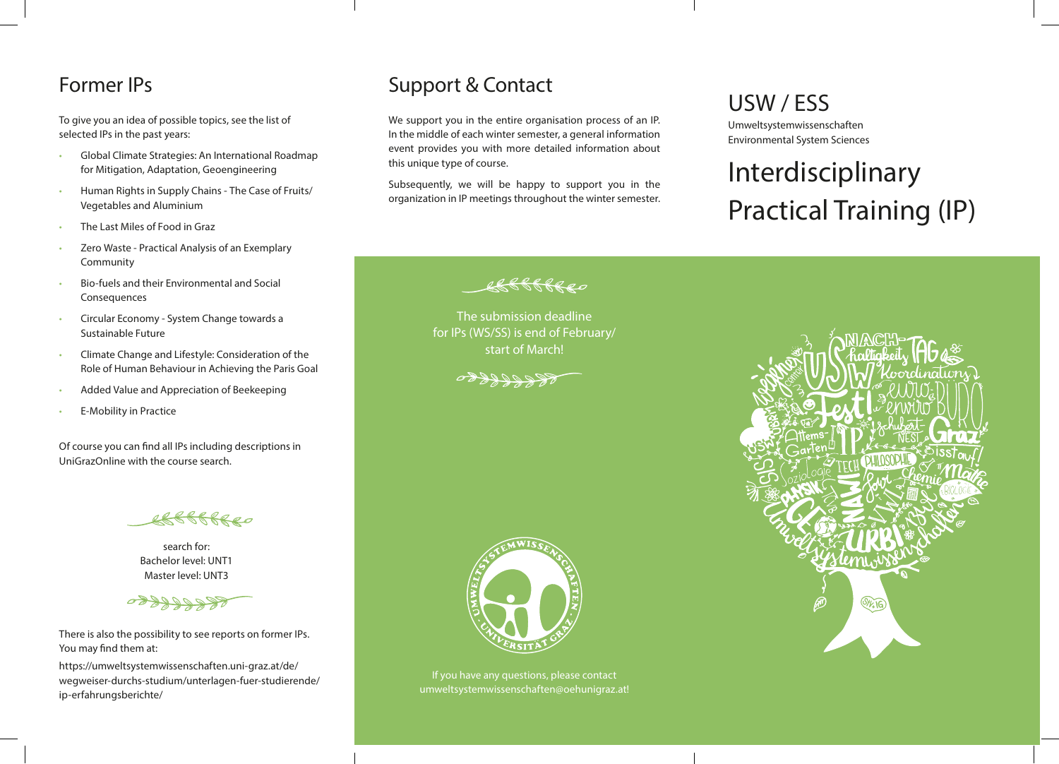#### Former IPs

To give you an idea of possible topics, see the list of selected IPs in the past years:

- Global Climate Strategies: An International Roadmap for Mitigation, Adaptation, Geoengineering
- Human Rights in Supply Chains The Case of Fruits/ Vegetables and Aluminium
- The Last Miles of Food in Graz
- Zero Waste Practical Analysis of an Exemplary Community
- Bio-fuels and their Environmental and Social Consequences
- Circular Economy System Change towards a Sustainable Future
- Climate Change and Lifestyle: Consideration of the Role of Human Behaviour in Achieving the Paris Goal
- Added Value and Appreciation of Beekeeping
- **E-Mobility in Practice**

Of course you can find all IPs including descriptions in UniGrazOnline with the course search.

search for: Bachelor level: UNT1 Master level: UNT3



There is also the possibility to see reports on former IPs. You may find them at:

https://umweltsystemwissenschaften.uni-graz.at/de/ wegweiser-durchs-studium/unterlagen-fuer-studierende/ ip-erfahrungsberichte/

#### Support & Contact

We support you in the entire organisation process of an IP. In the middle of each winter semester, a general information event provides you with more detailed information about this unique type of course.

5 februaries - Antonio II and Antonio II and Antonio II and Antonio II and Antonio II and Antonio II and Anton

Subsequently, we will be happy to support you in the organization in IP meetings throughout the winter semester.

> The submission deadline for IPs (WS/SS) is end of February/ start of March!

## USW / ESS

Umweltsystemwissenschaften Environmental System Sciences

# Interdisciplinary Practical Training (IP)



If you have any questions, please contact umweltsystemwissenschaften@oehunigraz.at!